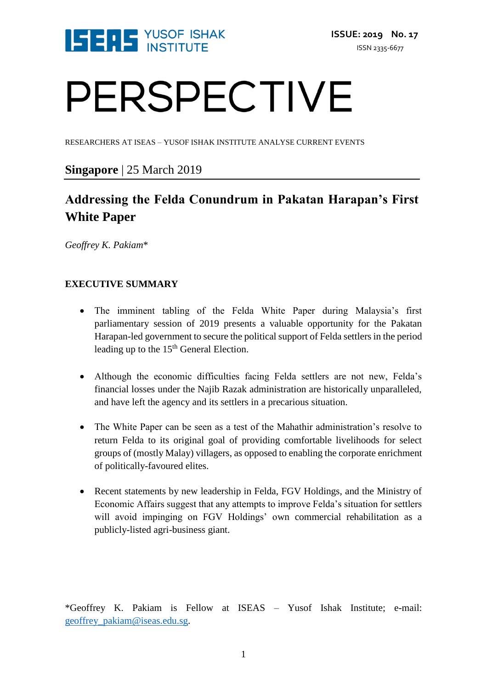

# PERSPECTIVE

RESEARCHERS AT ISEAS – YUSOF ISHAK INSTITUTE ANALYSE CURRENT EVENTS

#### **Singapore** | 25 March 2019

### **Addressing the Felda Conundrum in Pakatan Harapan's First White Paper**

*Geoffrey K. Pakiam*\*

#### **EXECUTIVE SUMMARY**

- The imminent tabling of the Felda White Paper during Malaysia's first parliamentary session of 2019 presents a valuable opportunity for the Pakatan Harapan-led government to secure the political support of Felda settlers in the period leading up to the 15<sup>th</sup> General Election.
- Although the economic difficulties facing Felda settlers are not new, Felda's financial losses under the Najib Razak administration are historically unparalleled, and have left the agency and its settlers in a precarious situation.
- The White Paper can be seen as a test of the Mahathir administration's resolve to return Felda to its original goal of providing comfortable livelihoods for select groups of (mostly Malay) villagers, as opposed to enabling the corporate enrichment of politically-favoured elites.
- Recent statements by new leadership in Felda, FGV Holdings, and the Ministry of Economic Affairs suggest that any attempts to improve Felda's situation for settlers will avoid impinging on FGV Holdings' own commercial rehabilitation as a publicly-listed agri-business giant.

\*Geoffrey K. Pakiam is Fellow at ISEAS – Yusof Ishak Institute; e-mail: [geoffrey\\_pakiam@iseas.edu.sg.](mailto:geoffrey_pakiam@iseas.edu.sg)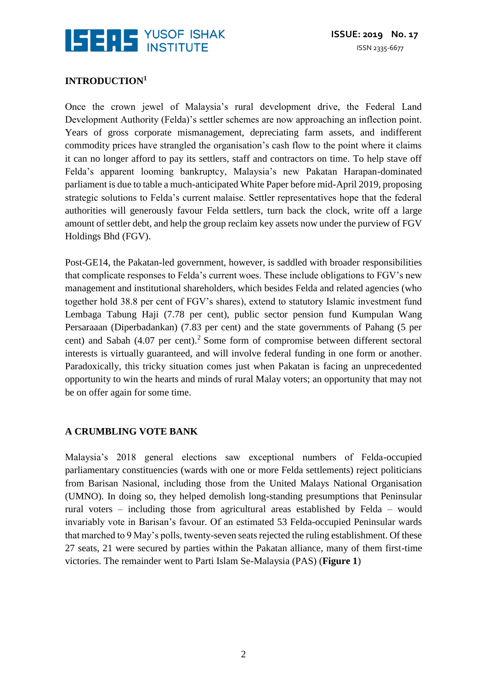

#### **INTRODUCTION<sup>1</sup>**

Once the crown jewel of Malaysia's rural development drive, the Federal Land Development Authority (Felda)'s settler schemes are now approaching an inflection point. Years of gross corporate mismanagement, depreciating farm assets, and indifferent commodity prices have strangled the organisation's cash flow to the point where it claims it can no longer afford to pay its settlers, staff and contractors on time. To help stave off Felda's apparent looming bankruptcy, Malaysia's new Pakatan Harapan-dominated parliament is due to table a much-anticipated White Paper before mid-April 2019, proposing strategic solutions to Felda's current malaise. Settler representatives hope that the federal authorities will generously favour Felda settlers, turn back the clock, write off a large amount of settler debt, and help the group reclaim key assets now under the purview of FGV Holdings Bhd (FGV).

Post-GE14, the Pakatan-led government, however, is saddled with broader responsibilities that complicate responses to Felda's current woes. These include obligations to FGV's new management and institutional shareholders, which besides Felda and related agencies (who together hold 38.8 per cent of FGV's shares), extend to statutory Islamic investment fund Lembaga Tabung Haji (7.78 per cent), public sector pension fund Kumpulan Wang Persaraaan (Diperbadankan) (7.83 per cent) and the state governments of Pahang (5 per cent) and Sabah (4.07 per cent).<sup>2</sup> Some form of compromise between different sectoral interests is virtually guaranteed, and will involve federal funding in one form or another. Paradoxically, this tricky situation comes just when Pakatan is facing an unprecedented opportunity to win the hearts and minds of rural Malay voters; an opportunity that may not be on offer again for some time.

#### **A CRUMBLING VOTE BANK**

Malaysia's 2018 general elections saw exceptional numbers of Felda-occupied parliamentary constituencies (wards with one or more Felda settlements) reject politicians from Barisan Nasional, including those from the United Malays National Organisation (UMNO). In doing so, they helped demolish long-standing presumptions that Peninsular rural voters – including those from agricultural areas established by Felda – would invariably vote in Barisan's favour. Of an estimated 53 Felda-occupied Peninsular wards that marched to 9 May's polls, twenty-seven seats rejected the ruling establishment. Of these 27 seats, 21 were secured by parties within the Pakatan alliance, many of them first-time victories. The remainder went to Parti Islam Se-Malaysia (PAS) (**Figure 1**)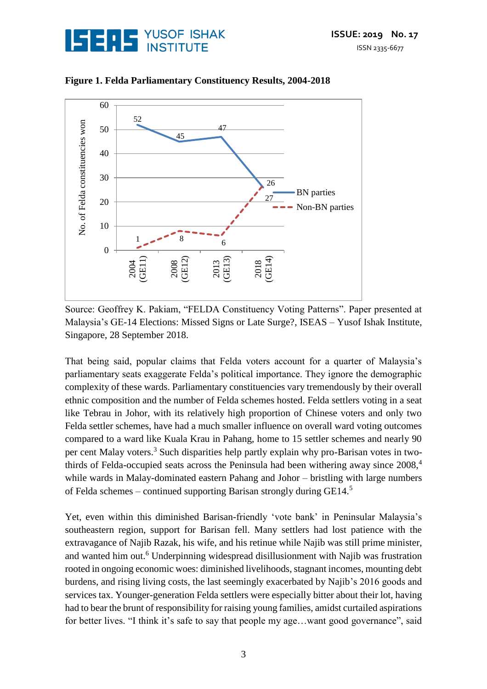



**Figure 1. Felda Parliamentary Constituency Results, 2004-2018**

Source: Geoffrey K. Pakiam, "FELDA Constituency Voting Patterns". Paper presented at Malaysia's GE-14 Elections: Missed Signs or Late Surge?, ISEAS – Yusof Ishak Institute, Singapore, 28 September 2018.

That being said, popular claims that Felda voters account for a quarter of Malaysia's parliamentary seats exaggerate Felda's political importance. They ignore the demographic complexity of these wards. Parliamentary constituencies vary tremendously by their overall ethnic composition and the number of Felda schemes hosted. Felda settlers voting in a seat like Tebrau in Johor, with its relatively high proportion of Chinese voters and only two Felda settler schemes, have had a much smaller influence on overall ward voting outcomes compared to a ward like Kuala Krau in Pahang, home to 15 settler schemes and nearly 90 per cent Malay voters.<sup>3</sup> Such disparities help partly explain why pro-Barisan votes in twothirds of Felda-occupied seats across the Peninsula had been withering away since  $2008<sup>4</sup>$ while wards in Malay-dominated eastern Pahang and Johor – bristling with large numbers of Felda schemes – continued supporting Barisan strongly during  $GE14<sup>5</sup>$ 

Yet, even within this diminished Barisan-friendly 'vote bank' in Peninsular Malaysia's southeastern region, support for Barisan fell. Many settlers had lost patience with the extravagance of Najib Razak, his wife, and his retinue while Najib was still prime minister, and wanted him out.<sup>6</sup> Underpinning widespread disillusionment with Najib was frustration rooted in ongoing economic woes: diminished livelihoods, stagnant incomes, mounting debt burdens, and rising living costs, the last seemingly exacerbated by Najib's 2016 goods and services tax. Younger-generation Felda settlers were especially bitter about their lot, having had to bear the brunt of responsibility for raising young families, amidst curtailed aspirations for better lives. "I think it's safe to say that people my age…want good governance", said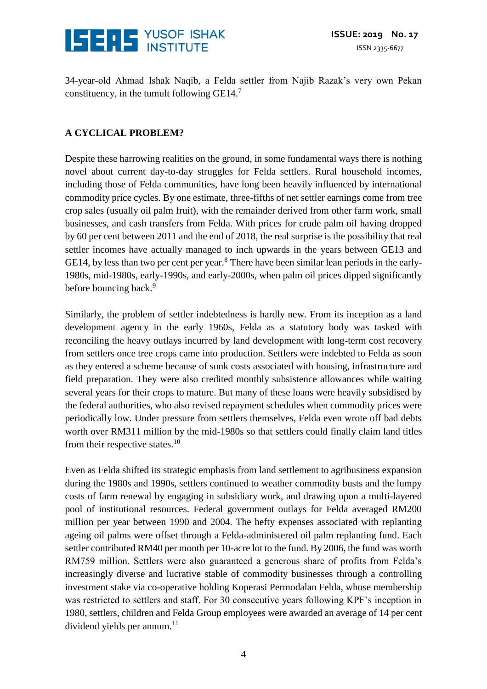

34-year-old Ahmad Ishak Naqib, a Felda settler from Najib Razak's very own Pekan constituency, in the tumult following  $GE14<sup>7</sup>$ 

#### **A CYCLICAL PROBLEM?**

Despite these harrowing realities on the ground, in some fundamental ways there is nothing novel about current day-to-day struggles for Felda settlers. Rural household incomes, including those of Felda communities, have long been heavily influenced by international commodity price cycles. By one estimate, three-fifths of net settler earnings come from tree crop sales (usually oil palm fruit), with the remainder derived from other farm work, small businesses, and cash transfers from Felda. With prices for crude palm oil having dropped by 60 per cent between 2011 and the end of 2018, the real surprise is the possibility that real settler incomes have actually managed to inch upwards in the years between GE13 and GE14, by less than two per cent per year.<sup>8</sup> There have been similar lean periods in the early-1980s, mid-1980s, early-1990s, and early-2000s, when palm oil prices dipped significantly before bouncing back.<sup>9</sup>

Similarly, the problem of settler indebtedness is hardly new. From its inception as a land development agency in the early 1960s, Felda as a statutory body was tasked with reconciling the heavy outlays incurred by land development with long-term cost recovery from settlers once tree crops came into production. Settlers were indebted to Felda as soon as they entered a scheme because of sunk costs associated with housing, infrastructure and field preparation. They were also credited monthly subsistence allowances while waiting several years for their crops to mature. But many of these loans were heavily subsidised by the federal authorities, who also revised repayment schedules when commodity prices were periodically low. Under pressure from settlers themselves, Felda even wrote off bad debts worth over RM311 million by the mid-1980s so that settlers could finally claim land titles from their respective states.<sup>10</sup>

Even as Felda shifted its strategic emphasis from land settlement to agribusiness expansion during the 1980s and 1990s, settlers continued to weather commodity busts and the lumpy costs of farm renewal by engaging in subsidiary work, and drawing upon a multi-layered pool of institutional resources. Federal government outlays for Felda averaged RM200 million per year between 1990 and 2004. The hefty expenses associated with replanting ageing oil palms were offset through a Felda-administered oil palm replanting fund. Each settler contributed RM40 per month per 10-acre lot to the fund. By 2006, the fund was worth RM759 million. Settlers were also guaranteed a generous share of profits from Felda's increasingly diverse and lucrative stable of commodity businesses through a controlling investment stake via co-operative holding Koperasi Permodalan Felda, whose membership was restricted to settlers and staff. For 30 consecutive years following KPF's inception in 1980, settlers, children and Felda Group employees were awarded an average of 14 per cent dividend yields per annum.<sup>11</sup>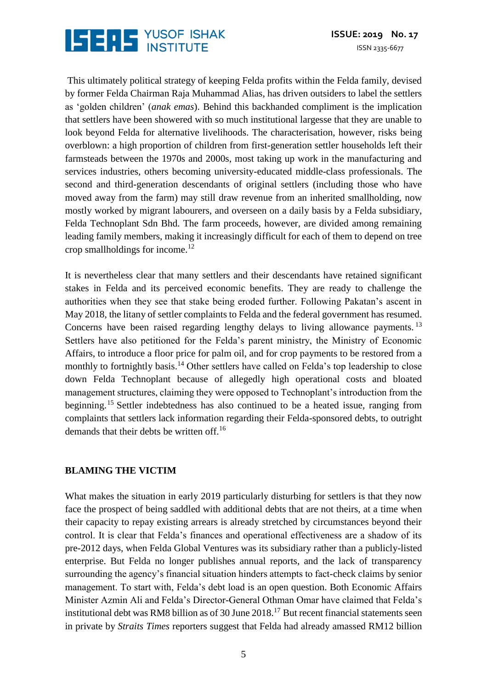## **ISERS** YUSOF ISHAK

This ultimately political strategy of keeping Felda profits within the Felda family, devised by former Felda Chairman Raja Muhammad Alias, has driven outsiders to label the settlers as 'golden children' (*anak emas*). Behind this backhanded compliment is the implication that settlers have been showered with so much institutional largesse that they are unable to look beyond Felda for alternative livelihoods. The characterisation, however, risks being overblown: a high proportion of children from first-generation settler households left their farmsteads between the 1970s and 2000s, most taking up work in the manufacturing and services industries, others becoming university-educated middle-class professionals. The second and third-generation descendants of original settlers (including those who have moved away from the farm) may still draw revenue from an inherited smallholding, now mostly worked by migrant labourers, and overseen on a daily basis by a Felda subsidiary, Felda Technoplant Sdn Bhd. The farm proceeds, however, are divided among remaining leading family members, making it increasingly difficult for each of them to depend on tree crop smallholdings for income.<sup>12</sup>

It is nevertheless clear that many settlers and their descendants have retained significant stakes in Felda and its perceived economic benefits. They are ready to challenge the authorities when they see that stake being eroded further. Following Pakatan's ascent in May 2018, the litany of settler complaints to Felda and the federal government has resumed. Concerns have been raised regarding lengthy delays to living allowance payments.<sup>13</sup> Settlers have also petitioned for the Felda's parent ministry, the Ministry of Economic Affairs, to introduce a floor price for palm oil, and for crop payments to be restored from a monthly to fortnightly basis.<sup>14</sup> Other settlers have called on Felda's top leadership to close down Felda Technoplant because of allegedly high operational costs and bloated management structures, claiming they were opposed to Technoplant's introduction from the beginning.<sup>15</sup> Settler indebtedness has also continued to be a heated issue, ranging from complaints that settlers lack information regarding their Felda-sponsored debts, to outright demands that their debts be written off.<sup>16</sup>

#### **BLAMING THE VICTIM**

What makes the situation in early 2019 particularly disturbing for settlers is that they now face the prospect of being saddled with additional debts that are not theirs, at a time when their capacity to repay existing arrears is already stretched by circumstances beyond their control. It is clear that Felda's finances and operational effectiveness are a shadow of its pre-2012 days, when Felda Global Ventures was its subsidiary rather than a publicly-listed enterprise. But Felda no longer publishes annual reports, and the lack of transparency surrounding the agency's financial situation hinders attempts to fact-check claims by senior management. To start with, Felda's debt load is an open question. Both Economic Affairs Minister Azmin Ali and Felda's Director-General Othman Omar have claimed that Felda's institutional debt was RM8 billion as of 30 June  $2018<sup>17</sup>$  But recent financial statements seen in private by *Straits Times* reporters suggest that Felda had already amassed RM12 billion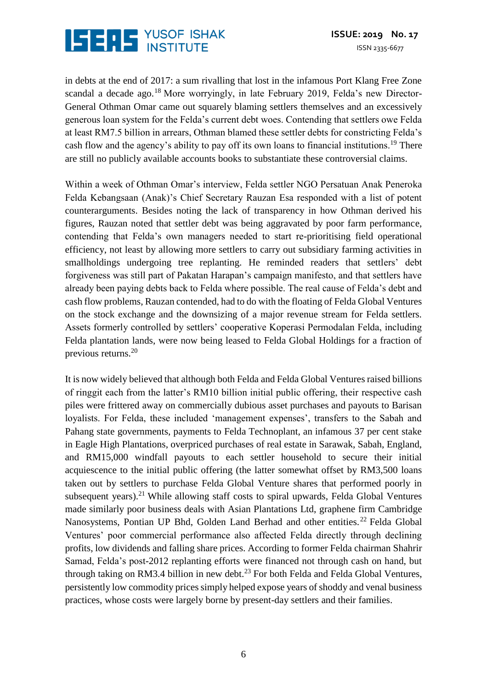

in debts at the end of 2017: a sum rivalling that lost in the infamous Port Klang Free Zone scandal a decade ago.<sup>18</sup> More worryingly, in late February 2019, Felda's new Director-General Othman Omar came out squarely blaming settlers themselves and an excessively generous loan system for the Felda's current debt woes. Contending that settlers owe Felda at least RM7.5 billion in arrears, Othman blamed these settler debts for constricting Felda's cash flow and the agency's ability to pay off its own loans to financial institutions.<sup>19</sup> There are still no publicly available accounts books to substantiate these controversial claims.

Within a week of Othman Omar's interview, Felda settler NGO Persatuan Anak Peneroka Felda Kebangsaan (Anak)'s Chief Secretary Rauzan Esa responded with a list of potent counterarguments. Besides noting the lack of transparency in how Othman derived his figures, Rauzan noted that settler debt was being aggravated by poor farm performance, contending that Felda's own managers needed to start re-prioritising field operational efficiency, not least by allowing more settlers to carry out subsidiary farming activities in smallholdings undergoing tree replanting. He reminded readers that settlers' debt forgiveness was still part of Pakatan Harapan's campaign manifesto, and that settlers have already been paying debts back to Felda where possible. The real cause of Felda's debt and cash flow problems, Rauzan contended, had to do with the floating of Felda Global Ventures on the stock exchange and the downsizing of a major revenue stream for Felda settlers. Assets formerly controlled by settlers' cooperative Koperasi Permodalan Felda, including Felda plantation lands, were now being leased to Felda Global Holdings for a fraction of previous returns.<sup>20</sup>

It is now widely believed that although both Felda and Felda Global Ventures raised billions of ringgit each from the latter's RM10 billion initial public offering, their respective cash piles were frittered away on commercially dubious asset purchases and payouts to Barisan loyalists. For Felda, these included 'management expenses', transfers to the Sabah and Pahang state governments, payments to Felda Technoplant, an infamous 37 per cent stake in Eagle High Plantations, overpriced purchases of real estate in Sarawak, Sabah, England, and RM15,000 windfall payouts to each settler household to secure their initial acquiescence to the initial public offering (the latter somewhat offset by RM3,500 loans taken out by settlers to purchase Felda Global Venture shares that performed poorly in subsequent years).<sup>21</sup> While allowing staff costs to spiral upwards, Felda Global Ventures made similarly poor business deals with Asian Plantations Ltd, graphene firm Cambridge Nanosystems, Pontian UP Bhd, Golden Land Berhad and other entities.<sup>22</sup> Felda Global Ventures' poor commercial performance also affected Felda directly through declining profits, low dividends and falling share prices. According to former Felda chairman Shahrir Samad, Felda's post-2012 replanting efforts were financed not through cash on hand, but through taking on RM3.4 billion in new debt.<sup>23</sup> For both Felda and Felda Global Ventures, persistently low commodity prices simply helped expose years of shoddy and venal business practices, whose costs were largely borne by present-day settlers and their families.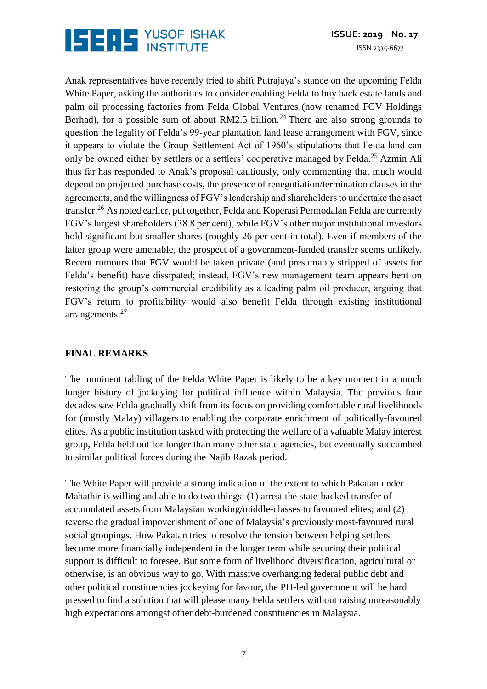

Anak representatives have recently tried to shift Putrajaya's stance on the upcoming Felda White Paper, asking the authorities to consider enabling Felda to buy back estate lands and palm oil processing factories from Felda Global Ventures (now renamed FGV Holdings Berhad), for a possible sum of about RM2.5 billion.<sup>24</sup> There are also strong grounds to question the legality of Felda's 99-year plantation land lease arrangement with FGV, since it appears to violate the Group Settlement Act of 1960's stipulations that Felda land can only be owned either by settlers or a settlers' cooperative managed by Felda.<sup>25</sup> Azmin Ali thus far has responded to Anak's proposal cautiously, only commenting that much would depend on projected purchase costs, the presence of renegotiation/termination clauses in the agreements, and the willingness of FGV's leadership and shareholders to undertake the asset transfer.<sup>26</sup> As noted earlier, put together, Felda and Koperasi Permodalan Felda are currently FGV's largest shareholders (38.8 per cent), while FGV's other major institutional investors hold significant but smaller shares (roughly 26 per cent in total). Even if members of the latter group were amenable, the prospect of a government-funded transfer seems unlikely. Recent rumours that FGV would be taken private (and presumably stripped of assets for Felda's benefit) have dissipated; instead, FGV's new management team appears bent on restoring the group's commercial credibility as a leading palm oil producer, arguing that FGV's return to profitability would also benefit Felda through existing institutional arrangements. $27$ 

#### **FINAL REMARKS**

The imminent tabling of the Felda White Paper is likely to be a key moment in a much longer history of jockeying for political influence within Malaysia. The previous four decades saw Felda gradually shift from its focus on providing comfortable rural livelihoods for (mostly Malay) villagers to enabling the corporate enrichment of politically-favoured elites. As a public institution tasked with protecting the welfare of a valuable Malay interest group, Felda held out for longer than many other state agencies, but eventually succumbed to similar political forces during the Najib Razak period.

The White Paper will provide a strong indication of the extent to which Pakatan under Mahathir is willing and able to do two things: (1) arrest the state-backed transfer of accumulated assets from Malaysian working/middle-classes to favoured elites; and (2) reverse the gradual impoverishment of one of Malaysia's previously most-favoured rural social groupings. How Pakatan tries to resolve the tension between helping settlers become more financially independent in the longer term while securing their political support is difficult to foresee. But some form of livelihood diversification, agricultural or otherwise, is an obvious way to go. With massive overhanging federal public debt and other political constituencies jockeying for favour, the PH-led government will be hard pressed to find a solution that will please many Felda settlers without raising unreasonably high expectations amongst other debt-burdened constituencies in Malaysia.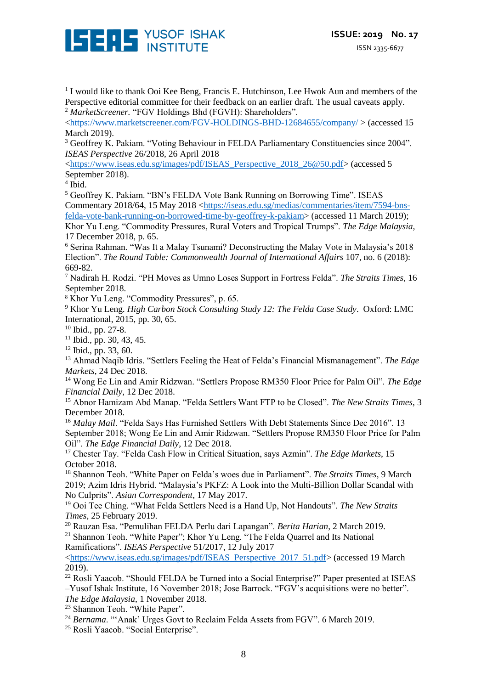

[<https://www.iseas.edu.sg/images/pdf/ISEAS\\_Perspective\\_2018\\_26@50.pdf>](https://www.iseas.edu.sg/images/pdf/ISEAS_Perspective_2018_26@50.pdf) (accessed 5 September 2018).

4 Ibid.

<u>.</u>

<sup>5</sup> Geoffrey K. Pakiam. "BN's FELDA Vote Bank Running on Borrowing Time". ISEAS Commentary 2018/64, 15 May 2018 [<https://iseas.edu.sg/medias/commentaries/item/7594-bns](https://iseas.edu.sg/medias/commentaries/item/7594-bns-felda-vote-bank-running-on-borrowed-time-by-geoffrey-k-pakiam)[felda-vote-bank-running-on-borrowed-time-by-geoffrey-k-pakiam>](https://iseas.edu.sg/medias/commentaries/item/7594-bns-felda-vote-bank-running-on-borrowed-time-by-geoffrey-k-pakiam) (accessed 11 March 2019); Khor Yu Leng. "Commodity Pressures, Rural Voters and Tropical Trumps". *The Edge Malaysia,*  17 December 2018, p. 65.

<sup>6</sup> Serina Rahman. "Was It a Malay Tsunami? Deconstructing the Malay Vote in Malaysia's 2018 Election". *The Round Table: Commonwealth Journal of International Affairs* 107, no. 6 (2018): 669-82.

<sup>7</sup> Nadirah H. Rodzi. "PH Moves as Umno Loses Support in Fortress Felda". *The Straits Times*, 16 September 2018.

<sup>8</sup> Khor Yu Leng. "Commodity Pressures", p. 65.

<sup>9</sup> Khor Yu Leng. *High Carbon Stock Consulting Study 12: The Felda Case Study*. Oxford: LMC International, 2015, pp. 30, 65.

 $10$  Ibid., pp. 27-8.

 $11$  Ibid., pp. 30, 43, 45.

<sup>12</sup> Ibid., pp. 33, 60.

<sup>13</sup> Ahmad Naqib Idris. "Settlers Feeling the Heat of Felda's Financial Mismanagement". *The Edge Markets*, 24 Dec 2018.

<sup>14</sup> Wong Ee Lin and Amir Ridzwan. "Settlers Propose RM350 Floor Price for Palm Oil". *The Edge Financial Daily*, 12 Dec 2018.

<sup>15</sup> Abnor Hamizam Abd Manap. "Felda Settlers Want FTP to be Closed". *The New Straits Times*, 3 December 2018.

<sup>16</sup> *Malay Mail*. "Felda Says Has Furnished Settlers With Debt Statements Since Dec 2016". 13 September 2018; Wong Ee Lin and Amir Ridzwan. "Settlers Propose RM350 Floor Price for Palm Oil". *The Edge Financial Daily*, 12 Dec 2018.

<sup>17</sup> Chester Tay. "Felda Cash Flow in Critical Situation, says Azmin". *The Edge Markets*, 15 October 2018.

<sup>18</sup> Shannon Teoh. "White Paper on Felda's woes due in Parliament". *The Straits Times*, 9 March 2019; Azim Idris Hybrid. "Malaysia's PKFZ: A Look into the Multi-Billion Dollar Scandal with No Culprits". *Asian Correspondent*, 17 May 2017.

<sup>19</sup> Ooi Tee Ching. "What Felda Settlers Need is a Hand Up, Not Handouts". *The New Straits Times*, 25 February 2019.

<sup>20</sup> Rauzan Esa. "Pemulihan FELDA Perlu dari Lapangan". *Berita Harian*, 2 March 2019.

<sup>21</sup> Shannon Teoh. "White Paper"; Khor Yu Leng. "The Felda Quarrel and Its National Ramifications". *ISEAS Perspective* 51/2017, 12 July 2017

[<https://www.iseas.edu.sg/images/pdf/ISEAS\\_Perspective\\_2017\\_51.pdf>](https://www.iseas.edu.sg/images/pdf/ISEAS_Perspective_2017_51.pdf) (accessed 19 March 2019).

 $^{22}$  Rosli Yaacob. "Should FELDA be Turned into a Social Enterprise?" Paper presented at ISEAS –Yusof Ishak Institute, 16 November 2018; Jose Barrock. "FGV's acquisitions were no better". *The Edge Malaysia*, 1 November 2018.

<sup>23</sup> Shannon Teoh. "White Paper".

<sup>24</sup> *Bernama*. "'Anak' Urges Govt to Reclaim Felda Assets from FGV". 6 March 2019.

<sup>25</sup> Rosli Yaacob. "Social Enterprise".

<sup>&</sup>lt;sup>1</sup> I would like to thank Ooi Kee Beng, Francis E. Hutchinson, Lee Hwok Aun and members of the Perspective editorial committee for their feedback on an earlier draft. The usual caveats apply. <sup>2</sup> *MarketScreener.* "FGV Holdings Bhd (FGVH): Shareholders".

[<sup>&</sup>lt;https://www.marketscreener.com/FGV-HOLDINGS-BHD-12684655/company/](https://www.marketscreener.com/FGV-HOLDINGS-BHD-12684655/company/) > (accessed 15 March 2019).

<sup>&</sup>lt;sup>3</sup> Geoffrey K. Pakiam. "Voting Behaviour in FELDA Parliamentary Constituencies since 2004". *ISEAS Perspective* 26/2018, 26 April 2018